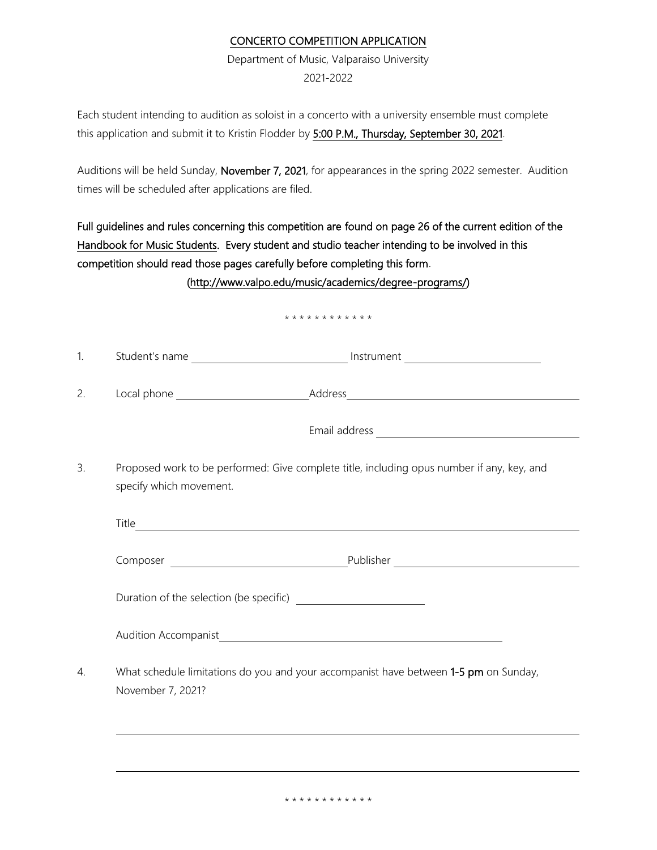## CONCERTO COMPETITION APPLICATION

Department of Music, Valparaiso University 2021-2022

Each student intending to audition as soloist in a concerto with a university ensemble must complete this application and submit it to Kristin Flodder by 5:00 P.M., Thursday, September 30, 2021.

Auditions will be held Sunday, November 7, 2021, for appearances in the spring 2022 semester. Audition times will be scheduled after applications are filed.

Full guidelines and rules concerning this competition are found on page 26 of the current edition of the Handbook for Music Students. Every student and studio teacher intending to be involved in this competition should read those pages carefully before completing this form.

[\(http://www.valpo.edu/music/academics/degree-programs/\)](http://www.valpo.edu/music/academics/degree-programs/)

## \* \* \* \* \* \* \* \* \* \* \* \*

| . . | $\sim$<br>student's name<br>. | Instrument<br>_____ |  |
|-----|-------------------------------|---------------------|--|
|     |                               |                     |  |

2. Local phone Address

Email address

3. Proposed work to be performed: Give complete title, including opus number if any, key, and specify which movement.

| Title                                                                                |           |  |  |  |  |
|--------------------------------------------------------------------------------------|-----------|--|--|--|--|
| Composer<br><u> 1989 - John Stein, Amerikaansk politiker (</u>                       | Publisher |  |  |  |  |
|                                                                                      |           |  |  |  |  |
| <b>Audition Accompanist</b>                                                          |           |  |  |  |  |
| What school le limitations do you and your assempanist have between 1 E nm on Sunday |           |  |  |  |  |

4. What schedule limitations do you and your accompanist have between 1-5 pm on Sunday, November 7, 2021?